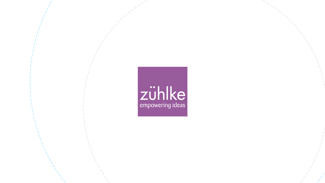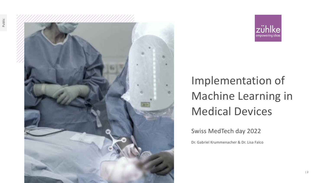



# Implementation of Machine Learning in Medical Devices

Swiss MedTech day 2022

Dr. Gabriel Krummenacher & Dr. Lisa Falco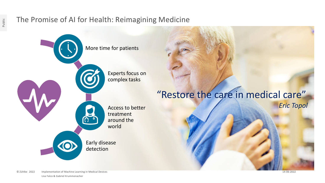# The Promise of AI for Health: Reimagining Medicine



© Zühlke 2022 Lisa Falco & Gabriel Krummenacher Implementation of Machine Learning in Medical Devices 14-06-2022

Public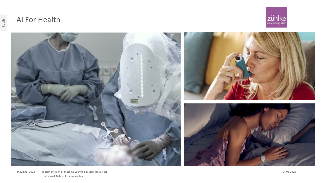

# AI For Health



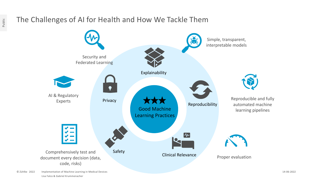# The Challenges of AI for Health and How We Tackle Them



© Zühlke 2022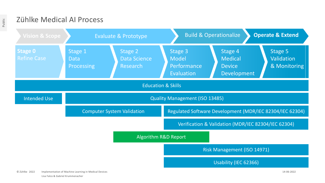## Zühlke Medical AI Process

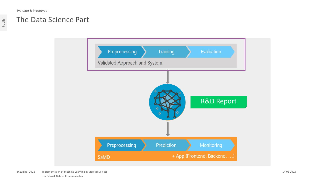Evaluate & Prototype

Public

### The Data Science Part

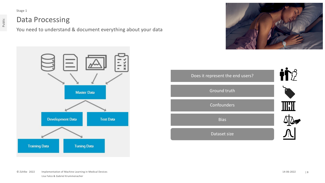Stage 1

#### Data Processing

You need to understand & document everything about your data





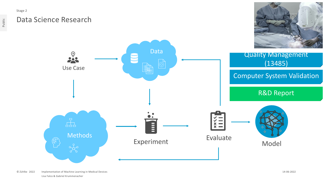Stage 2

Public

## Data Science Research



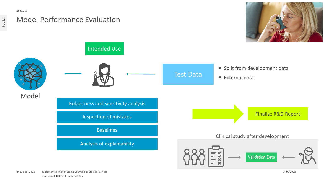

Public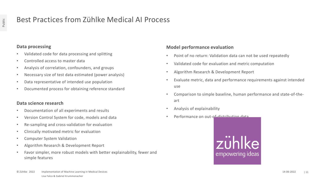# Best Practices from Zühlke Medical AI Process

#### **Data processing**

- Validated code for data processing and splitting
- Controlled access to master data
- Analysis of correlation, confounders, and groups
- Necessary size of test data estimated (power analysis)
- Data representative of intended use population
- Documented process for obtaining reference standard

#### **Data science research**

- Documentation of all experiments and results
- Version Control System for code, models and data
- Re-sampling and cross-validation for evaluation
- Clinically motivated metric for evaluation
- Computer System Validation
- Algorithm Research & Development Report
- Favor simpler, more robust models with better explainability, fewer and simple features

#### **Model performance evaluation**

- Point of no return: Validation data can not be used repeatedly
- Validated code for evaluation and metric computation
- Algorithm Research & Development Report
- Evaluate metric, data and performance requirements against intended use
- Comparison to simple baseline, human performance and state-of-theart
- Analysis of explainability
- Performance on out-of-distribution data

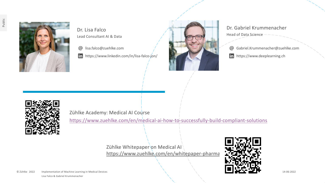

Dr. Lisa Falco Lead Consultant AI & Data

lisa.falco@zuehlke.com  $\omega$ 

https://www.linkedin.com/in/lisa-falco-jon/



Dr. Gabriel Krummenacher Head of Data Science

Gabriel.Krummenacher@zuehlke.com

in https://www.deeplearning.ch



Zühlke Academy: Medical AI Course

<https://www.zuehlke.com/en/medical-ai-how-to-successfully-build-compliant-solutions>

Zühlke Whitepaper on Medical AI <https://www.zuehlke.com/en/whitepaper-pharma>



© Zühlke 2022 Lisa Falco & Gabriel Krummenacher Implementation of Machine Learning in Medical Devices 14-06-2022